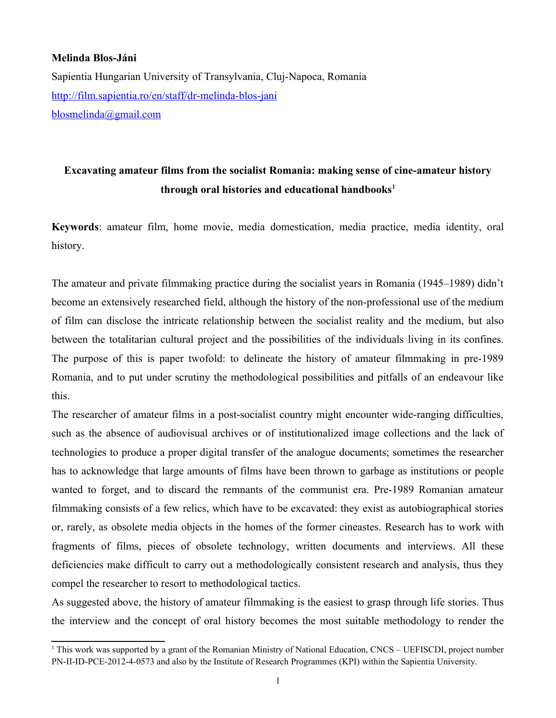## **Melinda Blos-Jáni**

Sapientia Hungarian University of Transylvania, Cluj-Napoca, Romania <http://film.sapientia.ro/en/staff/dr-melinda-blos-jani> [blosmelinda@gmail.com](mailto:blosmelinda@gmail.com)

# **Excavating amateur films from the socialist Romania: making sense of cine-amateur history through oral histories and educational handbooks[1](#page-0-0)**

**Keywords**: amateur film, home movie, media domestication, media practice, media identity, oral history.

The amateur and private filmmaking practice during the socialist years in Romania (1945–1989) didn't become an extensively researched field, although the history of the non-professional use of the medium of film can disclose the intricate relationship between the socialist reality and the medium, but also between the totalitarian cultural project and the possibilities of the individuals living in its confines. The purpose of this is paper twofold: to delineate the history of amateur filmmaking in pre-1989 Romania, and to put under scrutiny the methodological possibilities and pitfalls of an endeavour like this.

The researcher of amateur films in a post-socialist country might encounter wide-ranging difficulties, such as the absence of audiovisual archives or of institutionalized image collections and the lack of technologies to produce a proper digital transfer of the analogue documents; sometimes the researcher has to acknowledge that large amounts of films have been thrown to garbage as institutions or people wanted to forget, and to discard the remnants of the communist era. Pre-1989 Romanian amateur filmmaking consists of a few relics, which have to be excavated: they exist as autobiographical stories or, rarely, as obsolete media objects in the homes of the former cineastes. Research has to work with fragments of films, pieces of obsolete technology, written documents and interviews. All these deficiencies make difficult to carry out a methodologically consistent research and analysis, thus they compel the researcher to resort to methodological tactics.

As suggested above, the history of amateur filmmaking is the easiest to grasp through life stories. Thus the interview and the concept of oral history becomes the most suitable methodology to render the

<span id="page-0-0"></span> $1$  This work was supported by a grant of the Romanian Ministry of National Education, CNCS – UEFISCDI, project number PN-II-ID-PCE-2012-4-0573 and also by the Institute of Research Programmes (KPI) within the Sapientia University.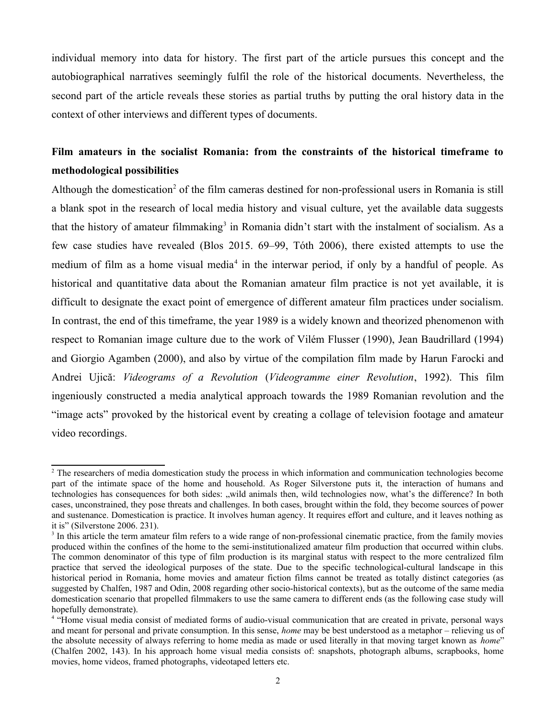individual memory into data for history. The first part of the article pursues this concept and the autobiographical narratives seemingly fulfil the role of the historical documents. Nevertheless, the second part of the article reveals these stories as partial truths by putting the oral history data in the context of other interviews and different types of documents.

## **Film amateurs in the socialist Romania: from the constraints of the historical timeframe to methodological possibilities**

Although the domestication<sup>[2](#page-1-0)</sup> of the film cameras destined for non-professional users in Romania is still a blank spot in the research of local media history and visual culture, yet the available data suggests that the history of amateur filmmaking<sup>[3](#page-1-1)</sup> in Romania didn't start with the instalment of socialism. As a few case studies have revealed (Blos 2015. 69–99, Tóth 2006), there existed attempts to use the medium of film as a home visual media<sup>[4](#page-1-2)</sup> in the interwar period, if only by a handful of people. As historical and quantitative data about the Romanian amateur film practice is not yet available, it is difficult to designate the exact point of emergence of different amateur film practices under socialism. In contrast, the end of this timeframe, the year 1989 is a widely known and theorized phenomenon with respect to Romanian image culture due to the work of Vilém Flusser (1990), Jean Baudrillard (1994) and Giorgio Agamben (2000), and also by virtue of the compilation film made by Harun Farocki and Andrei Ujică: *Videograms of a Revolution* (*Videogramme einer Revolution*, 1992). This film ingeniously constructed a media analytical approach towards the 1989 Romanian revolution and the "image acts" provoked by the historical event by creating a collage of television footage and amateur video recordings.

<span id="page-1-0"></span> $2$  The researchers of media domestication study the process in which information and communication technologies become part of the intimate space of the home and household. As Roger Silverstone puts it, the interaction of humans and technologies has consequences for both sides: "wild animals then, wild technologies now, what's the difference? In both cases, unconstrained, they pose threats and challenges. In both cases, brought within the fold, they become sources of power and sustenance. Domestication is practice. It involves human agency. It requires effort and culture, and it leaves nothing as it is" (Silverstone 2006. 231).

<span id="page-1-1"></span><sup>&</sup>lt;sup>3</sup> In this article the term amateur film refers to a wide range of non-professional cinematic practice, from the family movies produced within the confines of the home to the semi-institutionalized amateur film production that occurred within clubs. The common denominator of this type of film production is its marginal status with respect to the more centralized film practice that served the ideological purposes of the state. Due to the specific technological-cultural landscape in this historical period in Romania, home movies and amateur fiction films cannot be treated as totally distinct categories (as suggested by Chalfen, 1987 and Odin, 2008 regarding other socio-historical contexts), but as the outcome of the same media domestication scenario that propelled filmmakers to use the same camera to different ends (as the following case study will hopefully demonstrate).

<span id="page-1-2"></span><sup>4</sup> "Home visual media consist of mediated forms of audio-visual communication that are created in private, personal ways and meant for personal and private consumption. In this sense, *home* may be best understood as a metaphor – relieving us of the absolute necessity of always referring to home media as made or used literally in that moving target known as *home*" (Chalfen 2002, 143). In his approach home visual media consists of: snapshots, photograph albums, scrapbooks, home movies, home videos, framed photographs, videotaped letters etc.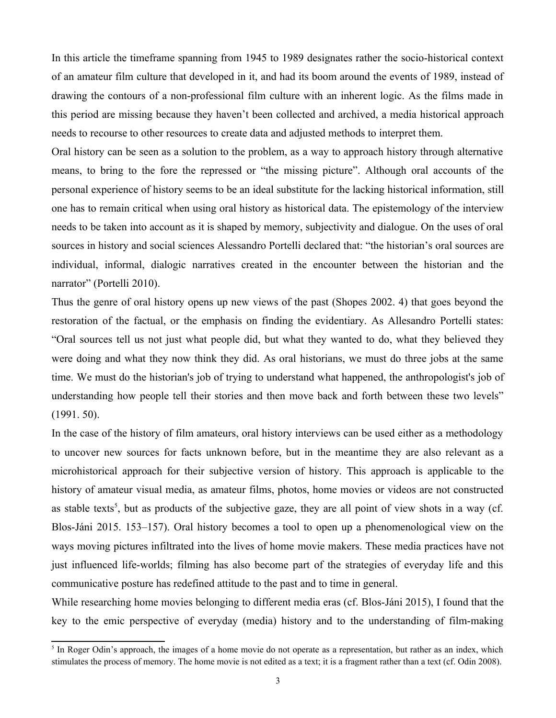In this article the timeframe spanning from 1945 to 1989 designates rather the socio-historical context of an amateur film culture that developed in it, and had its boom around the events of 1989, instead of drawing the contours of a non-professional film culture with an inherent logic. As the films made in this period are missing because they haven't been collected and archived, a media historical approach needs to recourse to other resources to create data and adjusted methods to interpret them.

Oral history can be seen as a solution to the problem, as a way to approach history through alternative means, to bring to the fore the repressed or "the missing picture". Although oral accounts of the personal experience of history seems to be an ideal substitute for the lacking historical information, still one has to remain critical when using oral history as historical data. The epistemology of the interview needs to be taken into account as it is shaped by memory, subjectivity and dialogue. On the uses of oral sources in history and social sciences Alessandro Portelli declared that: "the historian's oral sources are individual, informal, dialogic narratives created in the encounter between the historian and the narrator" (Portelli 2010).

Thus the genre of oral history opens up new views of the past (Shopes 2002. 4) that goes beyond the restoration of the factual, or the emphasis on finding the evidentiary. As Allesandro Portelli states: "Oral sources tell us not just what people did, but what they wanted to do, what they believed they were doing and what they now think they did. As oral historians, we must do three jobs at the same time. We must do the historian's job of trying to understand what happened, the anthropologist's job of understanding how people tell their stories and then move back and forth between these two levels" (1991. 50).

In the case of the history of film amateurs, oral history interviews can be used either as a methodology to uncover new sources for facts unknown before, but in the meantime they are also relevant as a microhistorical approach for their subjective version of history. This approach is applicable to the history of amateur visual media, as amateur films, photos, home movies or videos are not constructed as stable texts<sup>[5](#page-2-0)</sup>, but as products of the subjective gaze, they are all point of view shots in a way (cf. Blos-Jáni 2015. 153–157). Oral history becomes a tool to open up a phenomenological view on the ways moving pictures infiltrated into the lives of home movie makers. These media practices have not just influenced life-worlds; filming has also become part of the strategies of everyday life and this communicative posture has redefined attitude to the past and to time in general.

While researching home movies belonging to different media eras (cf. Blos-Jáni 2015), I found that the key to the emic perspective of everyday (media) history and to the understanding of film-making

<span id="page-2-0"></span><sup>&</sup>lt;sup>5</sup> In Roger Odin's approach, the images of a home movie do not operate as a representation, but rather as an index, which stimulates the process of memory. The home movie is not edited as a text; it is a fragment rather than a text (cf. Odin 2008).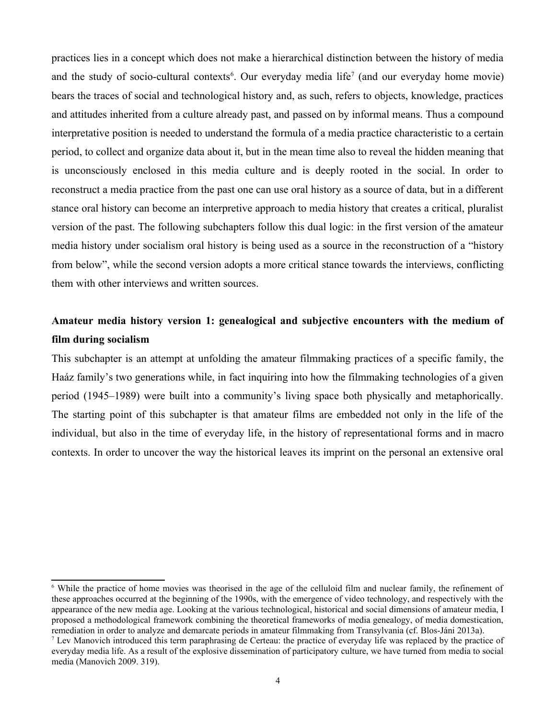practices lies in a concept which does not make a hierarchical distinction between the history of media and the study of socio-cultural contexts<sup>[6](#page-3-0)</sup>. Our everyday media life<sup>[7](#page-3-1)</sup> (and our everyday home movie) bears the traces of social and technological history and, as such, refers to objects, knowledge, practices and attitudes inherited from a culture already past, and passed on by informal means. Thus a compound interpretative position is needed to understand the formula of a media practice characteristic to a certain period, to collect and organize data about it, but in the mean time also to reveal the hidden meaning that is unconsciously enclosed in this media culture and is deeply rooted in the social. In order to reconstruct a media practice from the past one can use oral history as a source of data, but in a different stance oral history can become an interpretive approach to media history that creates a critical, pluralist version of the past. The following subchapters follow this dual logic: in the first version of the amateur media history under socialism oral history is being used as a source in the reconstruction of a "history from below", while the second version adopts a more critical stance towards the interviews, conflicting them with other interviews and written sources.

## **Amateur media history version 1: genealogical and subjective encounters with the medium of film during socialism**

This subchapter is an attempt at unfolding the amateur filmmaking practices of a specific family, the Haáz family's two generations while, in fact inquiring into how the filmmaking technologies of a given period (1945–1989) were built into a community's living space both physically and metaphorically. The starting point of this subchapter is that amateur films are embedded not only in the life of the individual, but also in the time of everyday life, in the history of representational forms and in macro contexts. In order to uncover the way the historical leaves its imprint on the personal an extensive oral

<span id="page-3-0"></span><sup>&</sup>lt;sup>6</sup> While the practice of home movies was theorised in the age of the celluloid film and nuclear family, the refinement of these approaches occurred at the beginning of the 1990s, with the emergence of video technology, and respectively with the appearance of the new media age. Looking at the various technological, historical and social dimensions of amateur media, I proposed a methodological framework combining the theoretical frameworks of media genealogy, of media domestication, remediation in order to analyze and demarcate periods in amateur filmmaking from Transylvania (cf. Blos-Jáni 2013a).

<span id="page-3-1"></span><sup>&</sup>lt;sup>7</sup> Lev Manovich introduced this term paraphrasing de Certeau: the practice of everyday life was replaced by the practice of everyday media life. As a result of the explosive dissemination of participatory culture, we have turned from media to social media (Manovich 2009. 319).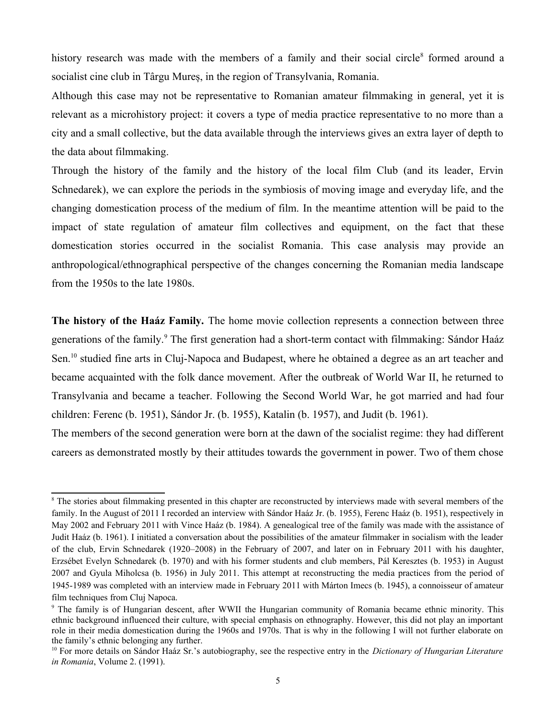history research was made with the members of a family and their social circle<sup>[8](#page-4-0)</sup> formed around a socialist cine club in Târgu Mureș, in the region of Transylvania, Romania.

Although this case may not be representative to Romanian amateur filmmaking in general, yet it is relevant as a microhistory project: it covers a type of media practice representative to no more than a city and a small collective, but the data available through the interviews gives an extra layer of depth to the data about filmmaking.

Through the history of the family and the history of the local film Club (and its leader, Ervin Schnedarek), we can explore the periods in the symbiosis of moving image and everyday life, and the changing domestication process of the medium of film. In the meantime attention will be paid to the impact of state regulation of amateur film collectives and equipment, on the fact that these domestication stories occurred in the socialist Romania. This case analysis may provide an anthropological/ethnographical perspective of the changes concerning the Romanian media landscape from the 1950s to the late 1980s.

**The history of the Haáz Family.** The home movie collection represents a connection between three generations of the family.<sup>[9](#page-4-1)</sup> The first generation had a short-term contact with filmmaking: Sándor Haáz Sen.<sup>[10](#page-4-2)</sup> studied fine arts in Cluj-Napoca and Budapest, where he obtained a degree as an art teacher and became acquainted with the folk dance movement. After the outbreak of World War II, he returned to Transylvania and became a teacher. Following the Second World War, he got married and had four children: Ferenc (b. 1951), Sándor Jr. (b. 1955), Katalin (b. 1957), and Judit (b. 1961).

The members of the second generation were born at the dawn of the socialist regime: they had different careers as demonstrated mostly by their attitudes towards the government in power. Two of them chose

<span id="page-4-0"></span><sup>&</sup>lt;sup>8</sup> The stories about filmmaking presented in this chapter are reconstructed by interviews made with several members of the family. In the August of 2011 I recorded an interview with Sándor Haáz Jr. (b. 1955), Ferenc Haáz (b. 1951), respectively in May 2002 and February 2011 with Vince Haáz (b. 1984). A genealogical tree of the family was made with the assistance of Judit Haáz (b. 1961). I initiated a conversation about the possibilities of the amateur filmmaker in socialism with the leader of the club, Ervin Schnedarek (1920–2008) in the February of 2007, and later on in February 2011 with his daughter, Erzsébet Evelyn Schnedarek (b. 1970) and with his former students and club members, Pál Keresztes (b. 1953) in August 2007 and Gyula Miholcsa (b. 1956) in July 2011. This attempt at reconstructing the media practices from the period of 1945-1989 was completed with an interview made in February 2011 with Márton Imecs (b. 1945), a connoisseur of amateur film techniques from Cluj Napoca.

<span id="page-4-1"></span><sup>9</sup> The family is of Hungarian descent, after WWII the Hungarian community of Romania became ethnic minority. This ethnic background influenced their culture, with special emphasis on ethnography. However, this did not play an important role in their media domestication during the 1960s and 1970s. That is why in the following I will not further elaborate on the family's ethnic belonging any further.

<span id="page-4-2"></span><sup>10</sup> For more details on Sándor Haáz Sr.'s autobiography, see the respective entry in the *Dictionary of Hungarian Literature in Romania*, Volume 2. (1991).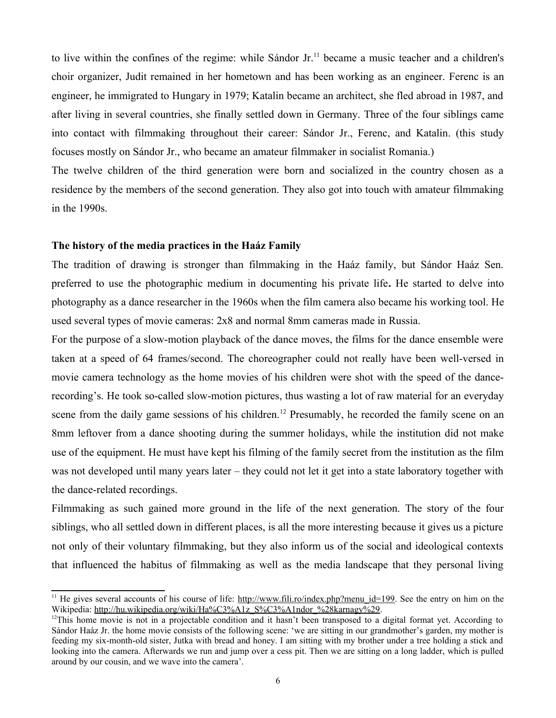to live within the confines of the regime: while Sándor Jr.<sup>[11](#page-5-0)</sup> became a music teacher and a children's choir organizer, Judit remained in her hometown and has been working as an engineer. Ferenc is an engineer, he immigrated to Hungary in 1979; Katalin became an architect, she fled abroad in 1987, and after living in several countries, she finally settled down in Germany. Three of the four siblings came into contact with filmmaking throughout their career: Sándor Jr., Ferenc, and Katalin. (this study focuses mostly on Sándor Jr., who became an amateur filmmaker in socialist Romania.)

The twelve children of the third generation were born and socialized in the country chosen as a residence by the members of the second generation. They also got into touch with amateur filmmaking in the 1990s.

## **The history of the media practices in the Haáz Family**

The tradition of drawing is stronger than filmmaking in the Haáz family, but Sándor Haáz Sen. preferred to use the photographic medium in documenting his private life**.** He started to delve into photography as a dance researcher in the 1960s when the film camera also became his working tool. He used several types of movie cameras: 2x8 and normal 8mm cameras made in Russia.

For the purpose of a slow-motion playback of the dance moves, the films for the dance ensemble were taken at a speed of 64 frames/second. The choreographer could not really have been well-versed in movie camera technology as the home movies of his children were shot with the speed of the dancerecording's. He took so-called slow-motion pictures, thus wasting a lot of raw material for an everyday scene from the daily game sessions of his children.<sup>[12](#page-5-1)</sup> Presumably, he recorded the family scene on an 8mm leftover from a dance shooting during the summer holidays, while the institution did not make use of the equipment. He must have kept his filming of the family secret from the institution as the film was not developed until many years later – they could not let it get into a state laboratory together with the dance-related recordings.

Filmmaking as such gained more ground in the life of the next generation. The story of the four siblings, who all settled down in different places, is all the more interesting because it gives us a picture not only of their voluntary filmmaking, but they also inform us of the social and ideological contexts that influenced the habitus of filmmaking as well as the media landscape that they personal living

<span id="page-5-0"></span><sup>&</sup>lt;sup>11</sup> He gives several accounts of his course of life:  $\frac{http://www.fili.ro/index.php?menu_id=199}{http://www.fili.ro/index.php?menu_id=199}$ . See the entry on him on the Wikipedia: [http://hu.wikipedia.org/wiki/Ha%C3%A1z\\_S%C3%A1ndor\\_%28karnagy%29.](http://hu.wikipedia.org/wiki/Ha%C3%A1z_S%C3%A1ndor_(karnagy))

<span id="page-5-1"></span> $12$ This home movie is not in a projectable condition and it hasn't been transposed to a digital format yet. According to Sándor Haáz Jr. the home movie consists of the following scene: 'we are sitting in our grandmother's garden, my mother is feeding my six-month-old sister, Jutka with bread and honey. I am sitting with my brother under a tree holding a stick and looking into the camera. Afterwards we run and jump over a cess pit. Then we are sitting on a long ladder, which is pulled around by our cousin, and we wave into the camera'.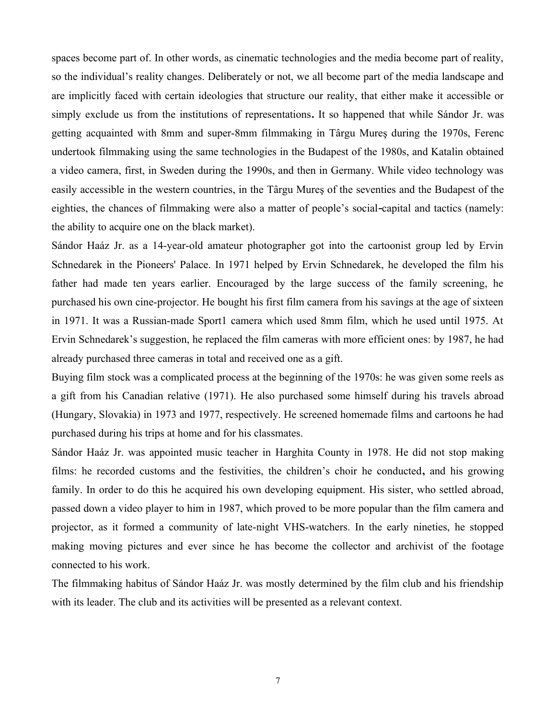spaces become part of. In other words, as cinematic technologies and the media become part of reality, so the individual's reality changes. Deliberately or not, we all become part of the media landscape and are implicitly faced with certain ideologies that structure our reality, that either make it accessible or simply exclude us from the institutions of representations**.** It so happened that while Sándor Jr. was getting acquainted with 8mm and super-8mm filmmaking in Târgu Mureş during the 1970s, Ferenc undertook filmmaking using the same technologies in the Budapest of the 1980s, and Katalin obtained a video camera, first, in Sweden during the 1990s, and then in Germany. While video technology was easily accessible in the western countries, in the Târgu Mureş of the seventies and the Budapest of the eighties, the chances of filmmaking were also a matter of people's social capital and tactics (namely: the ability to acquire one on the black market).

Sándor Haáz Jr. as a 14-year-old amateur photographer got into the cartoonist group led by Ervin Schnedarek in the Pioneers' Palace. In 1971 helped by Ervin Schnedarek, he developed the film his father had made ten years earlier. Encouraged by the large success of the family screening, he purchased his own cine-projector. He bought his first film camera from his savings at the age of sixteen in 1971. It was a Russian-made Sport1 camera which used 8mm film, which he used until 1975. At Ervin Schnedarek's suggestion, he replaced the film cameras with more efficient ones: by 1987, he had already purchased three cameras in total and received one as a gift.

Buying film stock was a complicated process at the beginning of the 1970s: he was given some reels as a gift from his Canadian relative (1971). He also purchased some himself during his travels abroad (Hungary, Slovakia) in 1973 and 1977, respectively. He screened homemade films and cartoons he had purchased during his trips at home and for his classmates.

Sándor Haáz Jr. was appointed music teacher in Harghita County in 1978. He did not stop making films: he recorded customs and the festivities, the children's choir he conducted**,** and his growing family. In order to do this he acquired his own developing equipment. His sister, who settled abroad, passed down a video player to him in 1987, which proved to be more popular than the film camera and projector, as it formed a community of late-night VHS-watchers. In the early nineties, he stopped making moving pictures and ever since he has become the collector and archivist of the footage connected to his work.

The filmmaking habitus of Sándor Haáz Jr. was mostly determined by the film club and his friendship with its leader. The club and its activities will be presented as a relevant context.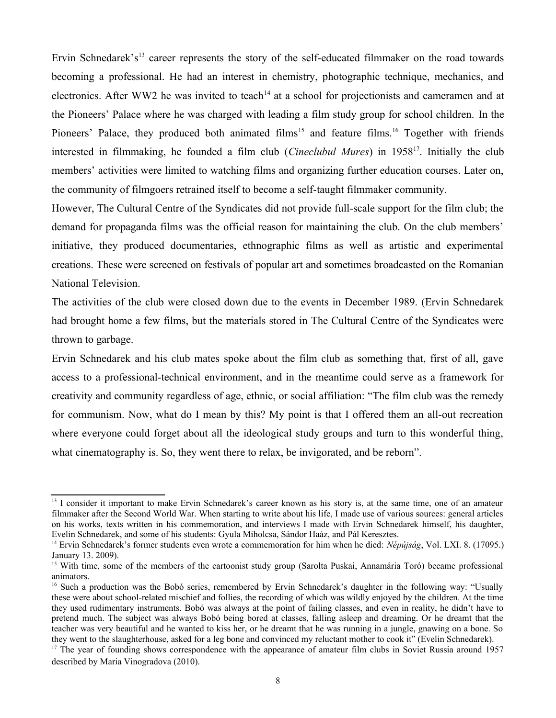Ervin Schnedarek's<sup>[13](#page-7-0)</sup> career represents the story of the self-educated filmmaker on the road towards becoming a professional. He had an interest in chemistry, photographic technique, mechanics, and electronics. After WW2 he was invited to teach<sup>[14](#page-7-1)</sup> at a school for projectionists and cameramen and at the Pioneers' Palace where he was charged with leading a film study group for school children. In the Pioneers' Palace, they produced both animated films<sup>[15](#page-7-2)</sup> and feature films.<sup>[16](#page-7-3)</sup> Together with friends interested in filmmaking, he founded a film club (*Cineclubul Mures*) in 1958[17](#page-7-4). Initially the club members' activities were limited to watching films and organizing further education courses. Later on, the community of filmgoers retrained itself to become a self-taught filmmaker community.

However, The Cultural Centre of the Syndicates did not provide full-scale support for the film club; the demand for propaganda films was the official reason for maintaining the club. On the club members' initiative, they produced documentaries, ethnographic films as well as artistic and experimental creations. These were screened on festivals of popular art and sometimes broadcasted on the Romanian National Television.

The activities of the club were closed down due to the events in December 1989. (Ervin Schnedarek had brought home a few films, but the materials stored in The Cultural Centre of the Syndicates were thrown to garbage.

Ervin Schnedarek and his club mates spoke about the film club as something that, first of all, gave access to a professional-technical environment, and in the meantime could serve as a framework for creativity and community regardless of age, ethnic, or social affiliation: "The film club was the remedy for communism. Now, what do I mean by this? My point is that I offered them an all-out recreation where everyone could forget about all the ideological study groups and turn to this wonderful thing, what cinematography is. So, they went there to relax, be invigorated, and be reborn".

<span id="page-7-0"></span><sup>&</sup>lt;sup>13</sup> I consider it important to make Ervin Schnedarek's career known as his story is, at the same time, one of an amateur filmmaker after the Second World War. When starting to write about his life, I made use of various sources: general articles on his works, texts written in his commemoration, and interviews I made with Ervin Schnedarek himself, his daughter, Evelin Schnedarek, and some of his students: Gyula Miholcsa, Sándor Haáz, and Pál Keresztes.

<span id="page-7-1"></span><sup>14</sup> Ervin Schnedarek's former students even wrote a commemoration for him when he died: *Népújság*, Vol. LXI. 8. (17095.) January 13. 2009).

<span id="page-7-2"></span><sup>&</sup>lt;sup>15</sup> With time, some of the members of the cartoonist study group (Sarolta Puskai, Annamária Toró) became professional animators.

<span id="page-7-3"></span><sup>&</sup>lt;sup>16</sup> Such a production was the Bobó series, remembered by Ervin Schnedarek's daughter in the following way: "Usually these were about school-related mischief and follies, the recording of which was wildly enjoyed by the children. At the time they used rudimentary instruments. Bobó was always at the point of failing classes, and even in reality, he didn't have to pretend much. The subject was always Bobó being bored at classes, falling asleep and dreaming. Or he dreamt that the teacher was very beautiful and he wanted to kiss her, or he dreamt that he was running in a jungle, gnawing on a bone. So they went to the slaughterhouse, asked for a leg bone and convinced my reluctant mother to cook it" (Evelin Schnedarek).

<span id="page-7-4"></span> $17$  The year of founding shows correspondence with the appearance of amateur film clubs in Soviet Russia around 1957 described by Maria Vinogradova (2010).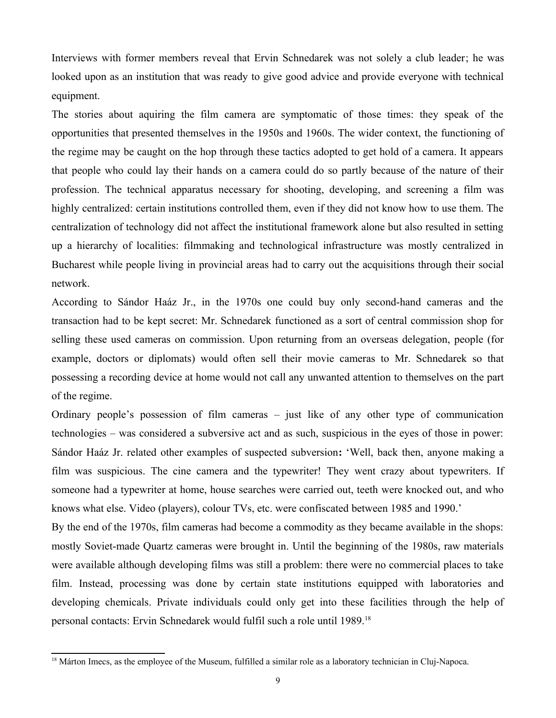Interviews with former members reveal that Ervin Schnedarek was not solely a club leader; he was looked upon as an institution that was ready to give good advice and provide everyone with technical equipment.

The stories about aquiring the film camera are symptomatic of those times: they speak of the opportunities that presented themselves in the 1950s and 1960s. The wider context, the functioning of the regime may be caught on the hop through these tactics adopted to get hold of a camera. It appears that people who could lay their hands on a camera could do so partly because of the nature of their profession. The technical apparatus necessary for shooting, developing, and screening a film was highly centralized: certain institutions controlled them, even if they did not know how to use them. The centralization of technology did not affect the institutional framework alone but also resulted in setting up a hierarchy of localities: filmmaking and technological infrastructure was mostly centralized in Bucharest while people living in provincial areas had to carry out the acquisitions through their social network.

According to Sándor Haáz Jr., in the 1970s one could buy only second-hand cameras and the transaction had to be kept secret: Mr. Schnedarek functioned as a sort of central commission shop for selling these used cameras on commission. Upon returning from an overseas delegation, people (for example, doctors or diplomats) would often sell their movie cameras to Mr. Schnedarek so that possessing a recording device at home would not call any unwanted attention to themselves on the part of the regime.

Ordinary people's possession of film cameras – just like of any other type of communication technologies – was considered a subversive act and as such, suspicious in the eyes of those in power: Sándor Haáz Jr. related other examples of suspected subversion**:** 'Well, back then, anyone making a film was suspicious. The cine camera and the typewriter! They went crazy about typewriters. If someone had a typewriter at home, house searches were carried out, teeth were knocked out, and who knows what else. Video (players), colour TVs, etc. were confiscated between 1985 and 1990.'

By the end of the 1970s, film cameras had become a commodity as they became available in the shops: mostly Soviet-made Quartz cameras were brought in. Until the beginning of the 1980s, raw materials were available although developing films was still a problem: there were no commercial places to take film. Instead, processing was done by certain state institutions equipped with laboratories and developing chemicals. Private individuals could only get into these facilities through the help of personal contacts: Ervin Schnedarek would fulfil such a role until 1989.[18](#page-8-0)

<span id="page-8-0"></span><sup>&</sup>lt;sup>18</sup> Márton Imecs, as the employee of the Museum, fulfilled a similar role as a laboratory technician in Cluj-Napoca.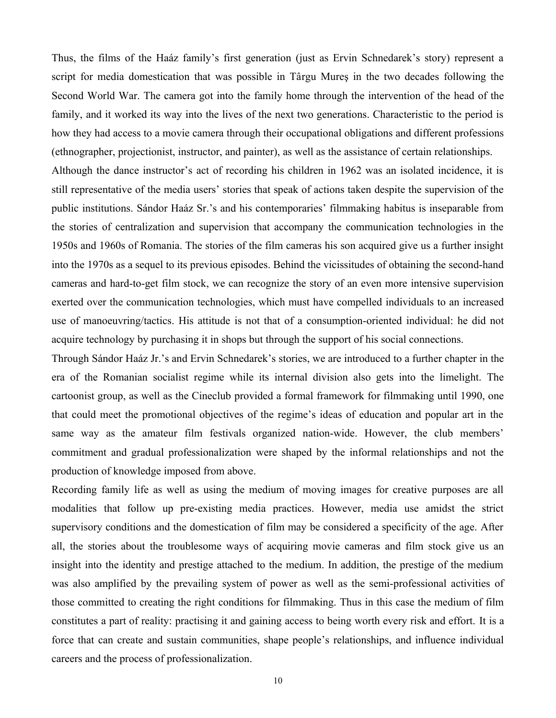Thus, the films of the Haáz family's first generation (just as Ervin Schnedarek's story) represent a script for media domestication that was possible in Târgu Mureş in the two decades following the Second World War. The camera got into the family home through the intervention of the head of the family, and it worked its way into the lives of the next two generations. Characteristic to the period is how they had access to a movie camera through their occupational obligations and different professions (ethnographer, projectionist, instructor, and painter), as well as the assistance of certain relationships. Although the dance instructor's act of recording his children in 1962 was an isolated incidence, it is

still representative of the media users' stories that speak of actions taken despite the supervision of the public institutions. Sándor Haáz Sr.'s and his contemporaries' filmmaking habitus is inseparable from the stories of centralization and supervision that accompany the communication technologies in the 1950s and 1960s of Romania. The stories of the film cameras his son acquired give us a further insight into the 1970s as a sequel to its previous episodes. Behind the vicissitudes of obtaining the second-hand cameras and hard-to-get film stock, we can recognize the story of an even more intensive supervision exerted over the communication technologies, which must have compelled individuals to an increased use of manoeuvring/tactics. His attitude is not that of a consumption-oriented individual: he did not acquire technology by purchasing it in shops but through the support of his social connections.

Through Sándor Haáz Jr.'s and Ervin Schnedarek's stories, we are introduced to a further chapter in the era of the Romanian socialist regime while its internal division also gets into the limelight. The cartoonist group, as well as the Cineclub provided a formal framework for filmmaking until 1990, one that could meet the promotional objectives of the regime's ideas of education and popular art in the same way as the amateur film festivals organized nation-wide. However, the club members' commitment and gradual professionalization were shaped by the informal relationships and not the production of knowledge imposed from above.

Recording family life as well as using the medium of moving images for creative purposes are all modalities that follow up pre-existing media practices. However, media use amidst the strict supervisory conditions and the domestication of film may be considered a specificity of the age. After all, the stories about the troublesome ways of acquiring movie cameras and film stock give us an insight into the identity and prestige attached to the medium. In addition, the prestige of the medium was also amplified by the prevailing system of power as well as the semi-professional activities of those committed to creating the right conditions for filmmaking. Thus in this case the medium of film constitutes a part of reality: practising it and gaining access to being worth every risk and effort. It is a force that can create and sustain communities, shape people's relationships, and influence individual careers and the process of professionalization.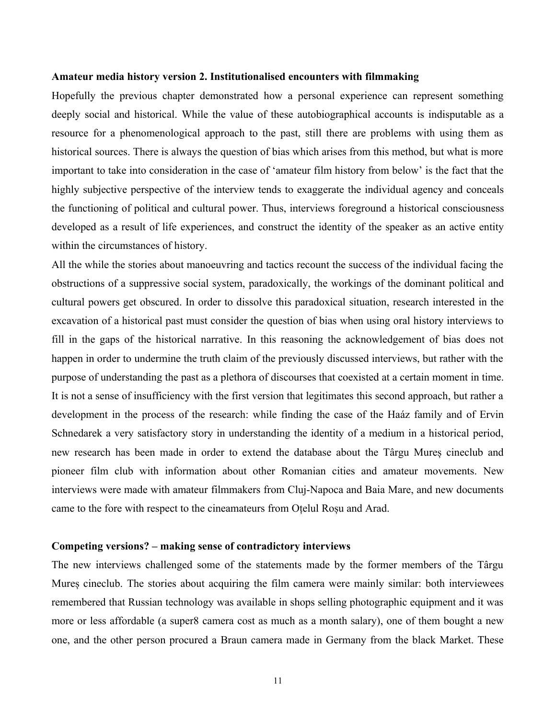#### **Amateur media history version 2. Institutionalised encounters with filmmaking**

Hopefully the previous chapter demonstrated how a personal experience can represent something deeply social and historical. While the value of these autobiographical accounts is indisputable as a resource for a phenomenological approach to the past, still there are problems with using them as historical sources. There is always the question of bias which arises from this method, but what is more important to take into consideration in the case of 'amateur film history from below' is the fact that the highly subjective perspective of the interview tends to exaggerate the individual agency and conceals the functioning of political and cultural power. Thus, interviews foreground a historical consciousness developed as a result of life experiences, and construct the identity of the speaker as an active entity within the circumstances of history.

All the while the stories about manoeuvring and tactics recount the success of the individual facing the obstructions of a suppressive social system, paradoxically, the workings of the dominant political and cultural powers get obscured. In order to dissolve this paradoxical situation, research interested in the excavation of a historical past must consider the question of bias when using oral history interviews to fill in the gaps of the historical narrative. In this reasoning the acknowledgement of bias does not happen in order to undermine the truth claim of the previously discussed interviews, but rather with the purpose of understanding the past as a plethora of discourses that coexisted at a certain moment in time. It is not a sense of insufficiency with the first version that legitimates this second approach, but rather a development in the process of the research: while finding the case of the Haáz family and of Ervin Schnedarek a very satisfactory story in understanding the identity of a medium in a historical period, new research has been made in order to extend the database about the Târgu Mureș cineclub and pioneer film club with information about other Romanian cities and amateur movements. New interviews were made with amateur filmmakers from Cluj-Napoca and Baia Mare, and new documents came to the fore with respect to the cineamateurs from Oțelul Roșu and Arad.

#### **Competing versions? – making sense of contradictory interviews**

The new interviews challenged some of the statements made by the former members of the Târgu Mureș cineclub. The stories about acquiring the film camera were mainly similar: both interviewees remembered that Russian technology was available in shops selling photographic equipment and it was more or less affordable (a super8 camera cost as much as a month salary), one of them bought a new one, and the other person procured a Braun camera made in Germany from the black Market. These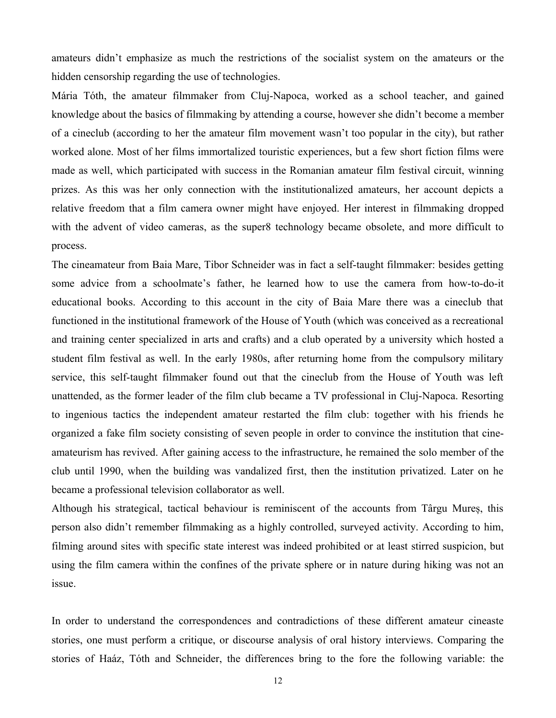amateurs didn't emphasize as much the restrictions of the socialist system on the amateurs or the hidden censorship regarding the use of technologies.

Mária Tóth, the amateur filmmaker from Cluj-Napoca, worked as a school teacher, and gained knowledge about the basics of filmmaking by attending a course, however she didn't become a member of a cineclub (according to her the amateur film movement wasn't too popular in the city), but rather worked alone. Most of her films immortalized touristic experiences, but a few short fiction films were made as well, which participated with success in the Romanian amateur film festival circuit, winning prizes. As this was her only connection with the institutionalized amateurs, her account depicts a relative freedom that a film camera owner might have enjoyed. Her interest in filmmaking dropped with the advent of video cameras, as the super8 technology became obsolete, and more difficult to process.

The cineamateur from Baia Mare, Tibor Schneider was in fact a self-taught filmmaker: besides getting some advice from a schoolmate's father, he learned how to use the camera from how-to-do-it educational books. According to this account in the city of Baia Mare there was a cineclub that functioned in the institutional framework of the House of Youth (which was conceived as a recreational and training center specialized in arts and crafts) and a club operated by a university which hosted a student film festival as well. In the early 1980s, after returning home from the compulsory military service, this self-taught filmmaker found out that the cineclub from the House of Youth was left unattended, as the former leader of the film club became a TV professional in Cluj-Napoca. Resorting to ingenious tactics the independent amateur restarted the film club: together with his friends he organized a fake film society consisting of seven people in order to convince the institution that cineamateurism has revived. After gaining access to the infrastructure, he remained the solo member of the club until 1990, when the building was vandalized first, then the institution privatized. Later on he became a professional television collaborator as well.

Although his strategical, tactical behaviour is reminiscent of the accounts from Târgu Mureș, this person also didn't remember filmmaking as a highly controlled, surveyed activity. According to him, filming around sites with specific state interest was indeed prohibited or at least stirred suspicion, but using the film camera within the confines of the private sphere or in nature during hiking was not an issue.

In order to understand the correspondences and contradictions of these different amateur cineaste stories, one must perform a critique, or discourse analysis of oral history interviews. Comparing the stories of Haáz, Tóth and Schneider, the differences bring to the fore the following variable: the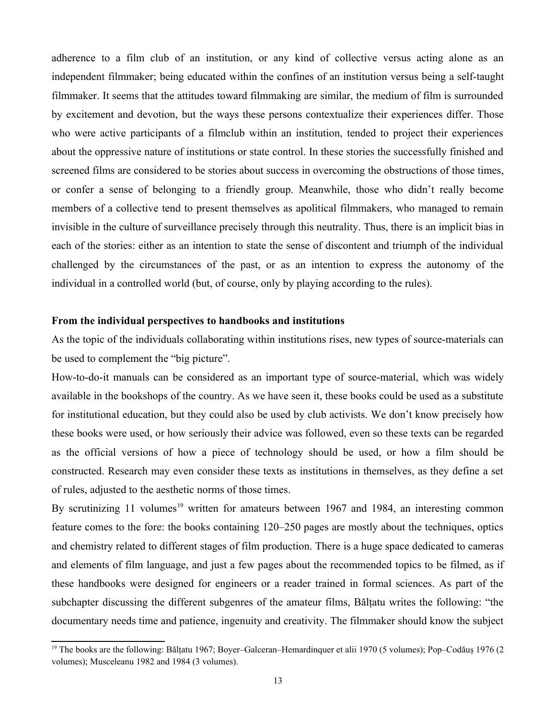adherence to a film club of an institution, or any kind of collective versus acting alone as an independent filmmaker; being educated within the confines of an institution versus being a self-taught filmmaker. It seems that the attitudes toward filmmaking are similar, the medium of film is surrounded by excitement and devotion, but the ways these persons contextualize their experiences differ. Those who were active participants of a filmclub within an institution, tended to project their experiences about the oppressive nature of institutions or state control. In these stories the successfully finished and screened films are considered to be stories about success in overcoming the obstructions of those times, or confer a sense of belonging to a friendly group. Meanwhile, those who didn't really become members of a collective tend to present themselves as apolitical filmmakers, who managed to remain invisible in the culture of surveillance precisely through this neutrality. Thus, there is an implicit bias in each of the stories: either as an intention to state the sense of discontent and triumph of the individual challenged by the circumstances of the past, or as an intention to express the autonomy of the individual in a controlled world (but, of course, only by playing according to the rules).

#### **From the individual perspectives to handbooks and institutions**

As the topic of the individuals collaborating within institutions rises, new types of source-materials can be used to complement the "big picture".

How-to-do-it manuals can be considered as an important type of source-material, which was widely available in the bookshops of the country. As we have seen it, these books could be used as a substitute for institutional education, but they could also be used by club activists. We don't know precisely how these books were used, or how seriously their advice was followed, even so these texts can be regarded as the official versions of how a piece of technology should be used, or how a film should be constructed. Research may even consider these texts as institutions in themselves, as they define a set of rules, adjusted to the aesthetic norms of those times.

By scrutinizing 11 volumes<sup>[19](#page-12-0)</sup> written for amateurs between 1967 and 1984, an interesting common feature comes to the fore: the books containing 120–250 pages are mostly about the techniques, optics and chemistry related to different stages of film production. There is a huge space dedicated to cameras and elements of film language, and just a few pages about the recommended topics to be filmed, as if these handbooks were designed for engineers or a reader trained in formal sciences. As part of the subchapter discussing the different subgenres of the amateur films, Bălțatu writes the following: "the documentary needs time and patience, ingenuity and creativity. The filmmaker should know the subject

<span id="page-12-0"></span><sup>&</sup>lt;sup>19</sup> The books are the following: Bălțatu 1967; Boyer–Galceran–Hemardinquer et alii 1970 (5 volumes); Pop–Codăuș 1976 (2 volumes); Musceleanu 1982 and 1984 (3 volumes).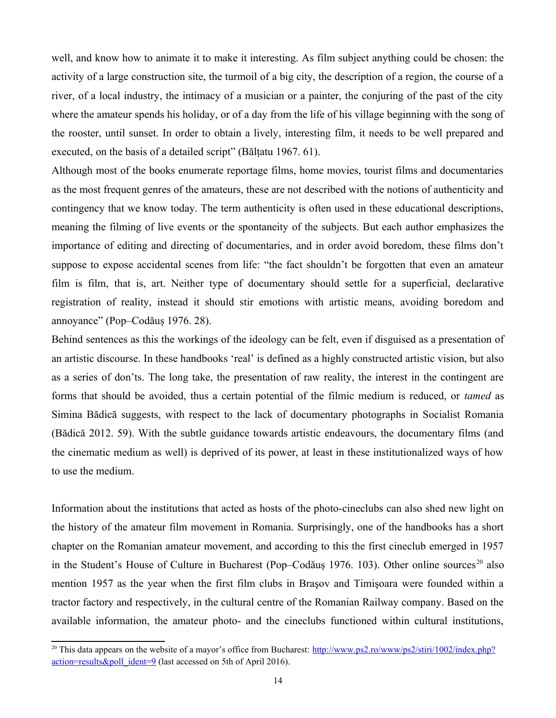well, and know how to animate it to make it interesting. As film subject anything could be chosen: the activity of a large construction site, the turmoil of a big city, the description of a region, the course of a river, of a local industry, the intimacy of a musician or a painter, the conjuring of the past of the city where the amateur spends his holiday, or of a day from the life of his village beginning with the song of the rooster, until sunset. In order to obtain a lively, interesting film, it needs to be well prepared and executed, on the basis of a detailed script" (Bălțatu 1967. 61).

Although most of the books enumerate reportage films, home movies, tourist films and documentaries as the most frequent genres of the amateurs, these are not described with the notions of authenticity and contingency that we know today. The term authenticity is often used in these educational descriptions, meaning the filming of live events or the spontaneity of the subjects. But each author emphasizes the importance of editing and directing of documentaries, and in order avoid boredom, these films don't suppose to expose accidental scenes from life: "the fact shouldn't be forgotten that even an amateur film is film, that is, art. Neither type of documentary should settle for a superficial, declarative registration of reality, instead it should stir emotions with artistic means, avoiding boredom and annoyance" (Pop–Codăuș 1976. 28).

Behind sentences as this the workings of the ideology can be felt, even if disguised as a presentation of an artistic discourse. In these handbooks 'real' is defined as a highly constructed artistic vision, but also as a series of don'ts. The long take, the presentation of raw reality, the interest in the contingent are forms that should be avoided, thus a certain potential of the filmic medium is reduced, or *tamed* as Simina Bădică suggests, with respect to the lack of documentary photographs in Socialist Romania (Bădică 2012. 59). With the subtle guidance towards artistic endeavours, the documentary films (and the cinematic medium as well) is deprived of its power, at least in these institutionalized ways of how to use the medium.

Information about the institutions that acted as hosts of the photo-cineclubs can also shed new light on the history of the amateur film movement in Romania. Surprisingly, one of the handbooks has a short chapter on the Romanian amateur movement, and according to this the first cineclub emerged in 1957 in the Student's House of Culture in Bucharest (Pop–Codăus 1976. 103). Other online sources<sup>[20](#page-13-0)</sup> also mention 1957 as the year when the first film clubs in Braşov and Timişoara were founded within a tractor factory and respectively, in the cultural centre of the Romanian Railway company. Based on the available information, the amateur photo- and the cineclubs functioned within cultural institutions,

<span id="page-13-0"></span><sup>&</sup>lt;sup>20</sup> This data appears on the website of a mayor's office from Bucharest:  $\frac{http://www.ps2-ro/www/ps2/stiri/1002/index.php?}$ [action=results&poll\\_ident=9](http://www.ps2.ro/www/ps2/stiri/1002/index.php?action=results&poll_ident=9) (last accessed on 5th of April 2016).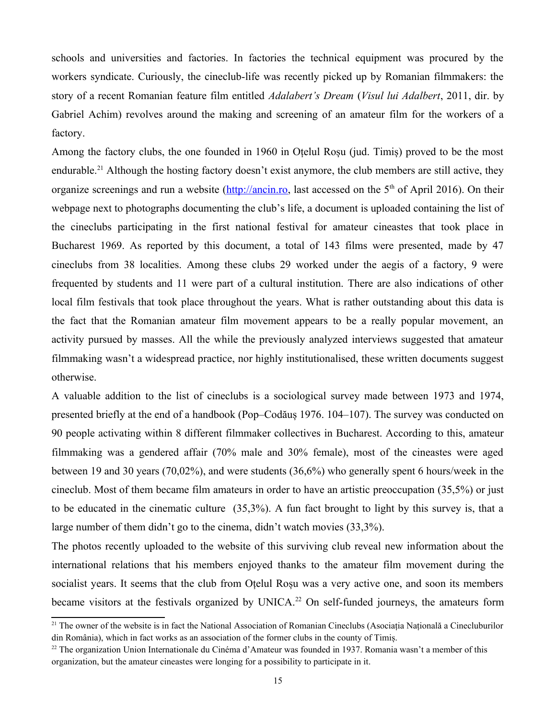schools and universities and factories. In factories the technical equipment was procured by the workers syndicate. Curiously, the cineclub-life was recently picked up by Romanian filmmakers: the story of a recent Romanian feature film entitled *Adalabert's Dream* (*Visul lui Adalbert*, 2011, dir. by Gabriel Achim) revolves around the making and screening of an amateur film for the workers of a factory.

Among the factory clubs, the one founded in 1960 in Oțelul Roșu (jud. Timiș) proved to be the most endurable.<sup>[21](#page-14-0)</sup> Although the hosting factory doesn't exist anymore, the club members are still active, they organize screenings and run a website ( $\frac{http://ancin.ro.}{http://ancin.ro.}$  last accessed on the 5<sup>th</sup> of April 2016). On their webpage next to photographs documenting the club's life, a document is uploaded containing the list of the cineclubs participating in the first national festival for amateur cineastes that took place in Bucharest 1969. As reported by this document, a total of 143 films were presented, made by 47 cineclubs from 38 localities. Among these clubs 29 worked under the aegis of a factory, 9 were frequented by students and 11 were part of a cultural institution. There are also indications of other local film festivals that took place throughout the years. What is rather outstanding about this data is the fact that the Romanian amateur film movement appears to be a really popular movement, an activity pursued by masses. All the while the previously analyzed interviews suggested that amateur filmmaking wasn't a widespread practice, nor highly institutionalised, these written documents suggest otherwise.

A valuable addition to the list of cineclubs is a sociological survey made between 1973 and 1974, presented briefly at the end of a handbook (Pop–Codăuș 1976. 104–107). The survey was conducted on 90 people activating within 8 different filmmaker collectives in Bucharest. According to this, amateur filmmaking was a gendered affair (70% male and 30% female), most of the cineastes were aged between 19 and 30 years (70,02%), and were students (36,6%) who generally spent 6 hours/week in the cineclub. Most of them became film amateurs in order to have an artistic preoccupation (35,5%) or just to be educated in the cinematic culture (35,3%). A fun fact brought to light by this survey is, that a large number of them didn't go to the cinema, didn't watch movies (33,3%).

The photos recently uploaded to the website of this surviving club reveal new information about the international relations that his members enjoyed thanks to the amateur film movement during the socialist years. It seems that the club from Oțelul Roșu was a very active one, and soon its members became visitors at the festivals organized by UNICA.<sup>[22](#page-14-1)</sup> On self-funded journeys, the amateurs form

<span id="page-14-0"></span><sup>&</sup>lt;sup>21</sup> The owner of the website is in fact the National Association of Romanian Cineclubs (Asociația Națională a Cinecluburilor din România), which in fact works as an association of the former clubs in the county of Timiș.

<span id="page-14-1"></span><sup>&</sup>lt;sup>22</sup> The organization Union Internationale du Cinéma d'Amateur was founded in 1937. Romania wasn't a member of this organization, but the amateur cineastes were longing for a possibility to participate in it.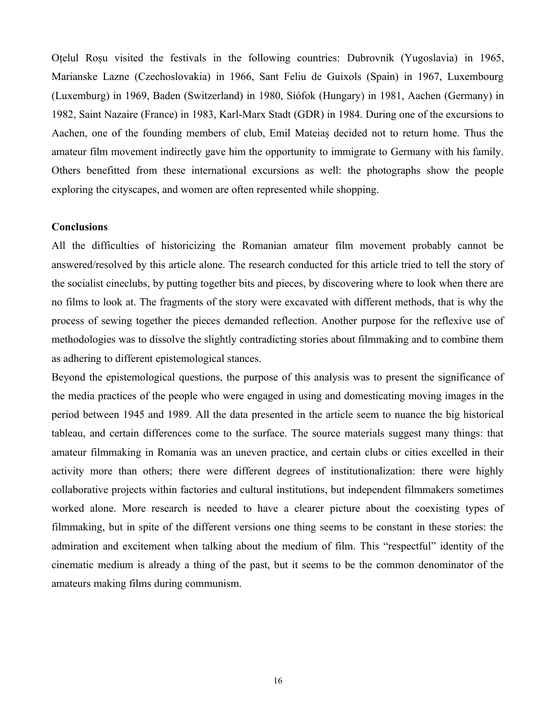Oțelul Roșu visited the festivals in the following countries: Dubrovnik (Yugoslavia) in 1965, Marianske Lazne (Czechoslovakia) in 1966, Sant Feliu de Guixols (Spain) in 1967, Luxembourg (Luxemburg) in 1969, Baden (Switzerland) in 1980, Siófok (Hungary) in 1981, Aachen (Germany) in 1982, Saint Nazaire (France) in 1983, Karl-Marx Stadt (GDR) in 1984. During one of the excursions to Aachen, one of the founding members of club, Emil Mateiaș decided not to return home. Thus the amateur film movement indirectly gave him the opportunity to immigrate to Germany with his family. Others benefitted from these international excursions as well: the photographs show the people exploring the cityscapes, and women are often represented while shopping.

## **Conclusions**

All the difficulties of historicizing the Romanian amateur film movement probably cannot be answered/resolved by this article alone. The research conducted for this article tried to tell the story of the socialist cineclubs, by putting together bits and pieces, by discovering where to look when there are no films to look at. The fragments of the story were excavated with different methods, that is why the process of sewing together the pieces demanded reflection. Another purpose for the reflexive use of methodologies was to dissolve the slightly contradicting stories about filmmaking and to combine them as adhering to different epistemological stances.

Beyond the epistemological questions, the purpose of this analysis was to present the significance of the media practices of the people who were engaged in using and domesticating moving images in the period between 1945 and 1989. All the data presented in the article seem to nuance the big historical tableau, and certain differences come to the surface. The source materials suggest many things: that amateur filmmaking in Romania was an uneven practice, and certain clubs or cities excelled in their activity more than others; there were different degrees of institutionalization: there were highly collaborative projects within factories and cultural institutions, but independent filmmakers sometimes worked alone. More research is needed to have a clearer picture about the coexisting types of filmmaking, but in spite of the different versions one thing seems to be constant in these stories: the admiration and excitement when talking about the medium of film. This "respectful" identity of the cinematic medium is already a thing of the past, but it seems to be the common denominator of the amateurs making films during communism.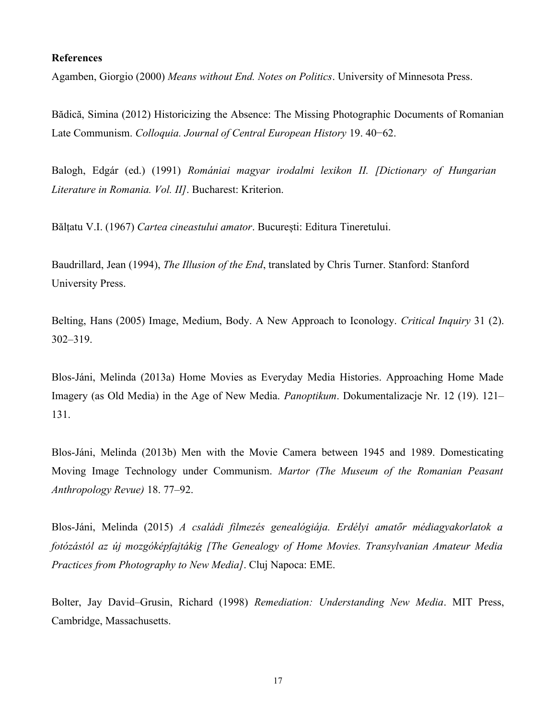#### **References**

Agamben, Giorgio (2000) *Means without End. Notes on Politics*. University of Minnesota Press.

Bădică, Simina (2012) Historicizing the Absence: The Missing Photographic Documents of Romanian Late Communism. *Colloquia. Journal of Central European History* 19. 40−62.

Balogh, Edgár (ed.) (1991) *Romániai magyar irodalmi lexikon II. [Dictionary of Hungarian Literature in Romania. Vol. II]*. Bucharest: Kriterion.

Bălțatu V.I. (1967) *Cartea cineastului amator*. București: Editura Tineretului.

Baudrillard, Jean (1994), *The Illusion of the End*, translated by Chris Turner. Stanford: Stanford University Press.

Belting, Hans (2005) Image, Medium, Body. A New Approach to Iconology. *Critical Inquiry* 31 (2). 302–319.

Blos-Jáni, Melinda (2013a) Home Movies as Everyday Media Histories. Approaching Home Made Imagery (as Old Media) in the Age of New Media. *Panoptikum*. Dokumentalizacje Nr. 12 (19). 121– 131.

Blos-Jáni, Melinda (2013b) Men with the Movie Camera between 1945 and 1989. Domesticating Moving Image Technology under Communism. *Martor (The Museum of the Romanian Peasant Anthropology Revue)* 18. 77–92.

Blos-Jáni, Melinda (2015) *A családi filmezés genealógiája. Erdélyi amatőr médiagyakorlatok a fotózástól az új mozgóképfajtákig [The Genealogy of Home Movies. Transylvanian Amateur Media Practices from Photography to New Media]*. Cluj Napoca: EME.

Bolter, Jay David–Grusin, Richard (1998) *Remediation: Understanding New Media*. MIT Press, Cambridge, Massachusetts.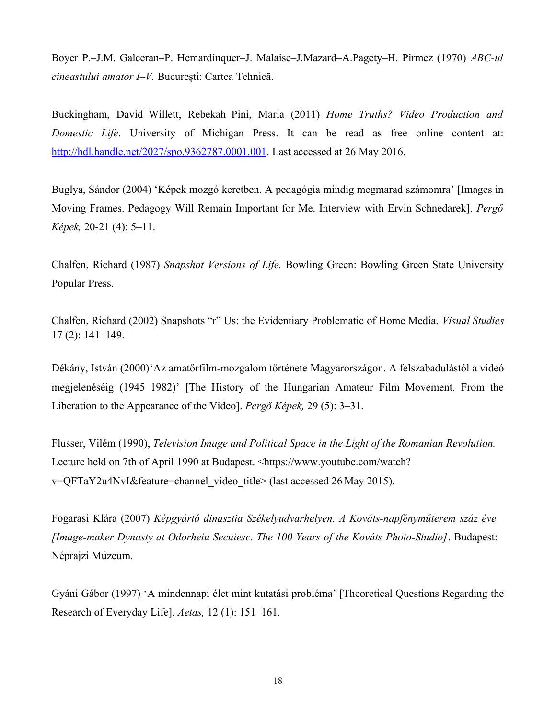Boyer P.–J.M. Galceran–P. Hemardinquer–J. Malaise–J.Mazard–A.Pagety–H. Pirmez (1970) *ABC-ul cineastului amator I–V.* București: Cartea Tehnică.

Buckingham, David–Willett, Rebekah–Pini, Maria (2011) *Home Truths? Video Production and Domestic Life*. University of Michigan Press. It can be read as free online content at: [http://hdl.handle.net/2027/spo.9362787.0001.001.](http://hdl.handle.net/2027/spo.9362787.0001.001) Last accessed at 26 May 2016.

Buglya, Sándor (2004) 'Képek mozgó keretben. A pedagógia mindig megmarad számomra' [Images in Moving Frames. Pedagogy Will Remain Important for Me. Interview with Ervin Schnedarek]. *Pergő Képek,* 20-21 (4): 5–11.

Chalfen, Richard (1987) *Snapshot Versions of Life.* Bowling Green: Bowling Green State University Popular Press.

Chalfen, Richard (2002) Snapshots "r" Us: the Evidentiary Problematic of Home Media. *Visual Studies* 17 (2): 141–149.

Dékány, István (2000)'Az amatőrfilm-mozgalom története Magyarországon. A felszabadulástól a videó megjelenéséig (1945–1982)' [The History of the Hungarian Amateur Film Movement. From the Liberation to the Appearance of the Video]. *Pergő Képek,* 29 (5): 3–31.

Flusser, Vilém (1990), *Television Image and Political Space in the Light of the Romanian Revolution.* Lecture held on 7th of April 1990 at Budapest. <https://www.youtube.com/watch? v=QFTaY2u4NvI&feature=channel\_video\_title> (last accessed 26 May 2015).

Fogarasi Klára (2007) *Képgyártó dinasztia Székelyudvarhelyen. A Kováts-napfényműterem száz éve [Image-maker Dynasty at Odorheiu Secuiesc. The 100 Years of the Kováts Photo-Studio]*. Budapest: Néprajzi Múzeum.

Gyáni Gábor (1997) 'A mindennapi élet mint kutatási probléma' [Theoretical Questions Regarding the Research of Everyday Life]. *Aetas,* 12 (1): 151–161.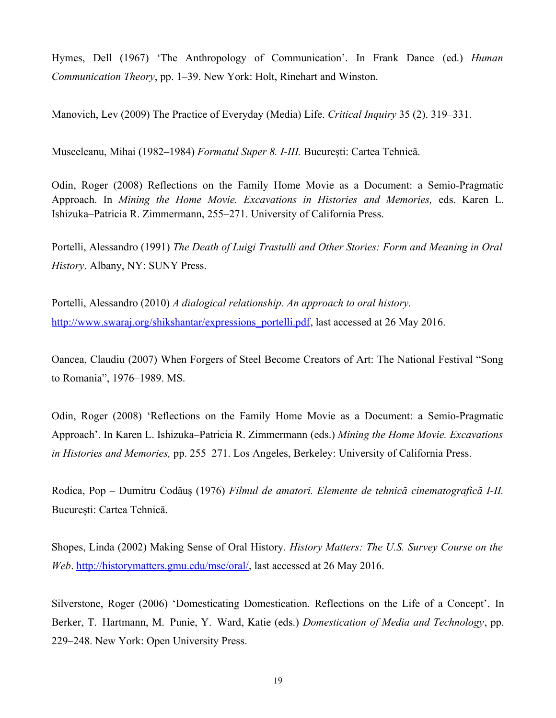Hymes, Dell (1967) 'The Anthropology of Communication'. In Frank Dance (ed.) *Human Communication Theory*, pp. 1–39. New York: Holt, Rinehart and Winston.

Manovich, Lev (2009) The Practice of Everyday (Media) Life. *Critical Inquiry* 35 (2). 319–331.

Musceleanu, Mihai (1982–1984) *Formatul Super 8. I-III.* București: Cartea Tehnică.

Odin, Roger (2008) Reflections on the Family Home Movie as a Document: a Semio-Pragmatic Approach. In *Mining the Home Movie. Excavations in Histories and Memories,* eds. Karen L. Ishizuka–Patricia R. Zimmermann, 255–271. University of California Press.

Portelli, Alessandro (1991) *The Death of Luigi Trastulli and Other Stories: Form and Meaning in Oral History*. Albany, NY: SUNY Press.

Portelli, Alessandro (2010) *A dialogical relationship. An approach to oral history.* [http://www.swaraj.org/shikshantar/expressions\\_portelli.pdf,](http://www.swaraj.org/shikshantar/expressions_portelli.pdf) last accessed at 26 May 2016.

Oancea, Claudiu (2007) When Forgers of Steel Become Creators of Art: The National Festival "Song to Romania", 1976–1989. MS.

Odin, Roger (2008) 'Reflections on the Family Home Movie as a Document: a Semio-Pragmatic Approach'. In Karen L. Ishizuka–Patricia R. Zimmermann (eds.) *Mining the Home Movie. Excavations in Histories and Memories,* pp. 255–271. Los Angeles, Berkeley: University of California Press.

Rodica, Pop – Dumitru Codăuș (1976) *Filmul de amatori. Elemente de tehnică cinematografică I-II.* București: Cartea Tehnică.

Shopes, Linda (2002) Making Sense of Oral History. *History Matters: The U.S. Survey Course on the Web*. [http://historymatters.gmu.edu/mse/oral/,](http://historymatters.gmu.edu/mse/oral/) last accessed at 26 May 2016.

Silverstone, Roger (2006) 'Domesticating Domestication. Reflections on the Life of a Concept'. In Berker, T.–Hartmann, M.–Punie, Y.–Ward, Katie (eds.) *Domestication of Media and Technology*, pp. 229–248. New York: Open University Press.